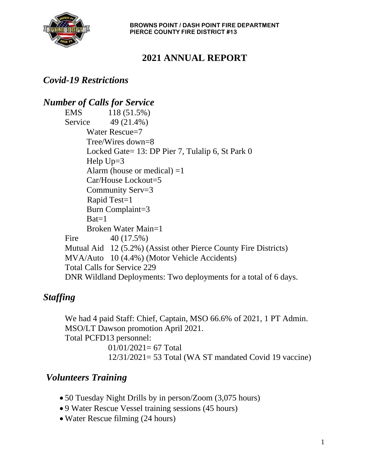

**BROWNS POINT / DASH POINT FIRE DEPARTMENT PIERCE COUNTY FIRE DISTRICT #13**

# **2021 ANNUAL REPORT**

#### *Covid-19 Restrictions*

#### *Number of Calls for Service* EMS 118 (51.5%) Service 49 (21.4%) Water Rescue=7 Tree/Wires down=8 Locked Gate= 13: DP Pier 7, Tulalip 6, St Park 0 Help Up=3 Alarm (house or medical)  $=1$ Car/House Lockout=5 Community Serv=3 Rapid Test=1 Burn Complaint=3  $\text{Bat}=1$ Broken Water Main=1 Fire 40 (17.5%) Mutual Aid 12 (5.2%) (Assist other Pierce County Fire Districts) MVA/Auto 10 (4.4%) (Motor Vehicle Accidents) Total Calls for Service 229 DNR Wildland Deployments: Two deployments for a total of 6 days.

## *Staffing*

We had 4 paid Staff: Chief, Captain, MSO 66.6% of 2021, 1 PT Admin. MSO/LT Dawson promotion April 2021. Total PCFD13 personnel:  $01/01/2021 = 67$  Total 12/31/2021= 53 Total (WA ST mandated Covid 19 vaccine)

#### *Volunteers Training*

- 50 Tuesday Night Drills by in person/Zoom (3,075 hours)
- 9 Water Rescue Vessel training sessions (45 hours)
- Water Rescue filming (24 hours)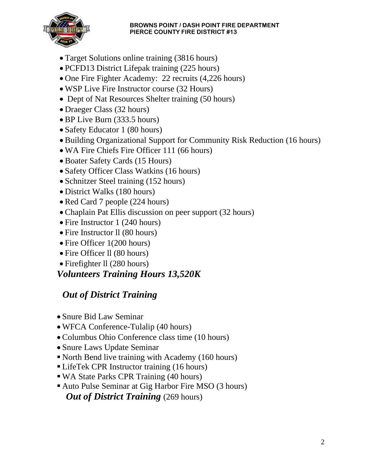#### **BROWNS POINT / DASH POINT FIRE DEPARTMENT PIERCE COUNTY FIRE DISTRICT #13**



- Target Solutions online training (3816 hours)
- PCFD13 District Lifepak training (225 hours)
- One Fire Fighter Academy: 22 recruits (4,226 hours)
- WSP Live Fire Instructor course (32 Hours)
- Dept of Nat Resources Shelter training (50 hours)
- Draeger Class (32 hours)
- BP Live Burn (333.5 hours)
- Safety Educator 1 (80 hours)
- Building Organizational Support for Community Risk Reduction (16 hours)
- WA Fire Chiefs Fire Officer 111 (66 hours)
- Boater Safety Cards (15 Hours)
- Safety Officer Class Watkins (16 hours)
- Schnitzer Steel training (152 hours)
- District Walks (180 hours)
- Red Card 7 people (224 hours)
- Chaplain Pat Ellis discussion on peer support (32 hours)
- Fire Instructor 1 (240 hours)
- Fire Instructor II (80 hours)
- Fire Officer 1(200 hours)
- Fire Officer II (80 hours)
- Firefighter II (280 hours)

#### *Volunteers Training Hours 13,520K*

## *Out of District Training*

- Snure Bid Law Seminar
- WFCA Conference-Tulalip (40 hours)
- Columbus Ohio Conference class time (10 hours)
- Snure Laws Update Seminar
- North Bend live training with Academy (160 hours)
- LifeTek CPR Instructor training (16 hours)
- WA State Parks CPR Training (40 hours)
- Auto Pulse Seminar at Gig Harbor Fire MSO (3 hours) *Out of District Training (269 hours)*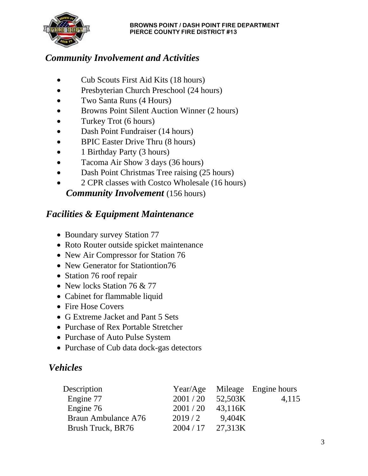

## *Community Involvement and Activities*

- Cub Scouts First Aid Kits (18 hours)
- Presbyterian Church Preschool (24 hours)
- Two Santa Runs (4 Hours)
- Browns Point Silent Auction Winner (2 hours)
- Turkey Trot (6 hours)
- Dash Point Fundraiser (14 hours)
- BPIC Easter Drive Thru (8 hours)
- 1 Birthday Party (3 hours)
- Tacoma Air Show 3 days (36 hours)
- Dash Point Christmas Tree raising (25 hours)
- 2 CPR classes with Costco Wholesale (16 hours)  *Community Involvement* (156 hours)

### *Facilities & Equipment Maintenance*

- Boundary survey Station 77
- Roto Router outside spicket maintenance
- New Air Compressor for Station 76
- New Generator for Stationtion76
- Station 76 roof repair
- New locks Station 76 & 77
- Cabinet for flammable liquid
- Fire Hose Covers
- G Extreme Jacket and Pant 5 Sets
- Purchase of Rex Portable Stretcher
- Purchase of Auto Pulse System
- Purchase of Cub data dock-gas detectors

#### *Vehicles*

| Description         |           |         | Year/Age Mileage Engine hours |
|---------------------|-----------|---------|-------------------------------|
| Engine 77           | 2001 / 20 | 52,503K | 4,115                         |
| Engine 76           | 2001 / 20 | 43,116K |                               |
| Braun Ambulance A76 | 2019/2    | 9.404K  |                               |
| Brush Truck, BR76   | 2004/17   | 27,313K |                               |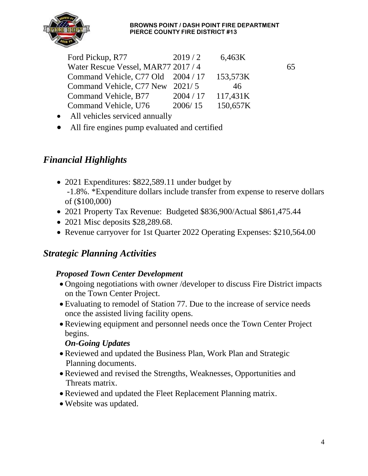#### **BROWNS POINT / DASH POINT FIRE DEPARTMENT PIERCE COUNTY FIRE DISTRICT #13**



| Ford Pickup, R77                    | 2019/2    | 6,463K   |    |
|-------------------------------------|-----------|----------|----|
| Water Rescue Vessel, MAR77 2017 / 4 |           |          | 65 |
| Command Vehicle, C77 Old 2004 / 17  |           | 153,573K |    |
| Command Vehicle, C77 New 2021/5     |           | 46       |    |
| Command Vehicle, B77                | 2004 / 17 | 117,431K |    |
| Command Vehicle, U76                | 2006/15   | 150,657K |    |

- All vehicles serviced annually
- All fire engines pump evaluated and certified

### *Financial Highlights*

- 2021 Expenditures: \$822,589.11 under budget by -1.8%. \*Expenditure dollars include transfer from expense to reserve dollars of (\$100,000)
- 2021 Property Tax Revenue: Budgeted \$836,900/Actual \$861,475.44
- 2021 Misc deposits \$28,289.68.
- Revenue carryover for 1st Quarter 2022 Operating Expenses: \$210,564.00

#### *Strategic Planning Activities*

#### *Proposed Town Center Development*

- Ongoing negotiations with owner /developer to discuss Fire District impacts on the Town Center Project.
- Evaluating to remodel of Station 77. Due to the increase of service needs once the assisted living facility opens.
- Reviewing equipment and personnel needs once the Town Center Project begins.

#### *On-Going Updates*

- Reviewed and updated the Business Plan, Work Plan and Strategic Planning documents.
- Reviewed and revised the Strengths, Weaknesses, Opportunities and Threats matrix.
- Reviewed and updated the Fleet Replacement Planning matrix.
- Website was updated.